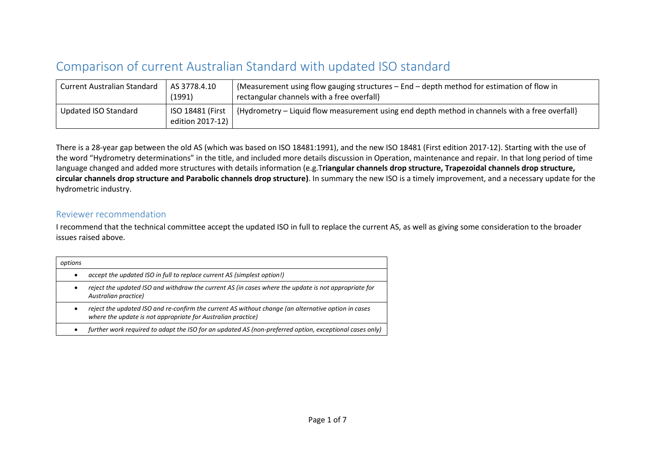## Comparison of current Australian Standard with updated ISO standard

| <b>Current Australian Standard</b> | AS 3778.4.10<br>(1991)                 | {Measurement using flow gauging structures - End - depth method for estimation of flow in<br>rectangular channels with a free overfall} |
|------------------------------------|----------------------------------------|-----------------------------------------------------------------------------------------------------------------------------------------|
| <b>Updated ISO Standard</b>        | ISO 18481 (First  <br>edition 2017-12) | {Hydrometry – Liquid flow measurement using end depth method in channels with a free overfall}                                          |

There is a 28-year gap between the old AS (which was based on ISO 18481:1991), and the new ISO 18481 (First edition 2017-12). Starting with the use of the word "Hydrometry determinations" in the title, and included more details discussion in Operation, maintenance and repair. In that long period of time language changed and added more structures with details information (e.g.T**riangular channels drop structure, Trapezoidal channels drop structure, circular channels drop structure and Parabolic channels drop structure)**. In summary the new ISO is a timely improvement, and a necessary update for the hydrometric industry.

## Reviewer recommendation

I recommend that the technical committee accept the updated ISO in full to replace the current AS, as well as giving some consideration to the broader issues raised above.

| options   |                                                                                                                                                                     |
|-----------|---------------------------------------------------------------------------------------------------------------------------------------------------------------------|
| $\bullet$ | accept the updated ISO in full to replace current AS (simplest option!)                                                                                             |
| $\bullet$ | reject the updated ISO and withdraw the current AS (in cases where the update is not appropriate for<br>Australian practice)                                        |
| $\bullet$ | reject the updated ISO and re-confirm the current AS without change (an alternative option in cases<br>where the update is not appropriate for Australian practice) |
| $\bullet$ | further work required to adapt the ISO for an updated AS (non-preferred option, exceptional cases only)                                                             |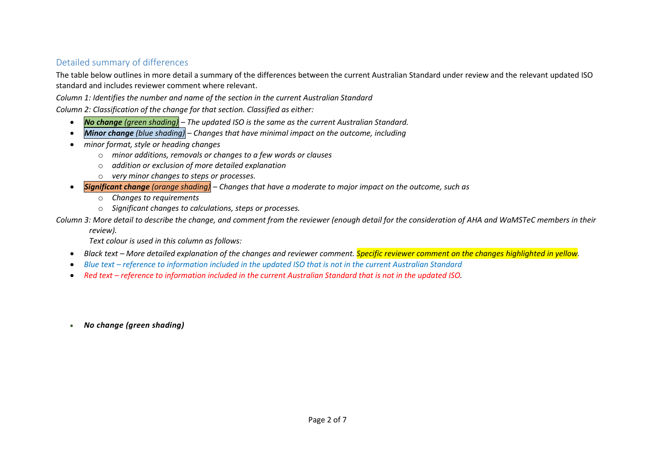## Detailed summary of differences

The table below outlines in more detail a summary of the differences between the current Australian Standard under review and the relevant updated ISO standard and includes reviewer comment where relevant.

*Column 1: Identifies the number and name of the section in the current Australian Standard*

*Column 2: Classification of the change for that section. Classified as either:*

- *No change (green shading) – The updated ISO is the same as the current Australian Standard.*
- *Minor change (blue shading) – Changes that have minimal impact on the outcome, including*
- *minor format, style or heading changes*
	- o *minor additions, removals or changes to a few words or clauses*
	- o *addition or exclusion of more detailed explanation*
	- o *very minor changes to steps or processes.*
- *Significant change (orange shading) – Changes that have a moderate to major impact on the outcome, such as*
	- o *Changes to requirements*
	- o *Significant changes to calculations, steps or processes.*

*Column 3: More detail to describe the change, and comment from the reviewer (enough detail for the consideration of AHA and WaMSTeC members in their* 

*review).*

*Text colour is used in this column as follows:*

- *Black text – More detailed explanation of the changes and reviewer comment. Specific reviewer comment on the changes highlighted in yellow.*
- *Blue text – reference to information included in the updated ISO that is not in the current Australian Standard*
- Red text *reference to information included in the current Australian Standard that is not in the updated ISO.*
- *No change (green shading)*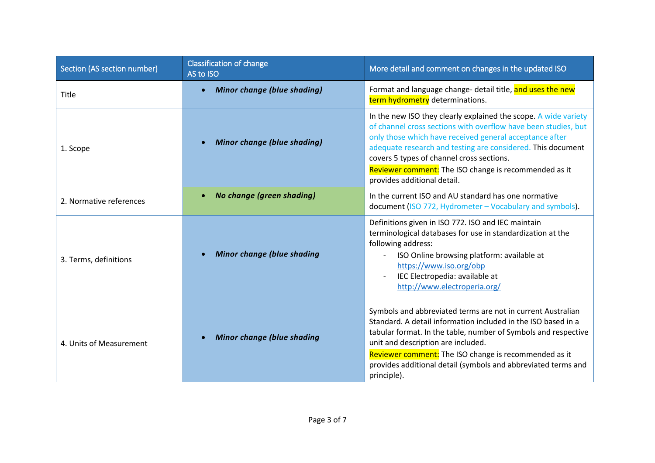| Section (AS section number) | <b>Classification of change</b><br>AS to ISO | More detail and comment on changes in the updated ISO                                                                                                                                                                                                                                                                                                                                            |
|-----------------------------|----------------------------------------------|--------------------------------------------------------------------------------------------------------------------------------------------------------------------------------------------------------------------------------------------------------------------------------------------------------------------------------------------------------------------------------------------------|
| Title                       | <b>Minor change (blue shading)</b>           | Format and language change- detail title, and uses the new<br>term hydrometry determinations.                                                                                                                                                                                                                                                                                                    |
| 1. Scope                    | <b>Minor change (blue shading)</b>           | In the new ISO they clearly explained the scope. A wide variety<br>of channel cross sections with overflow have been studies, but<br>only those which have received general acceptance after<br>adequate research and testing are considered. This document<br>covers 5 types of channel cross sections.<br>Reviewer comment: The ISO change is recommended as it<br>provides additional detail. |
| 2. Normative references     | No change (green shading)<br>$\bullet$       | In the current ISO and AU standard has one normative<br>document (ISO 772, Hydrometer - Vocabulary and symbols).                                                                                                                                                                                                                                                                                 |
| 3. Terms, definitions       | <b>Minor change (blue shading</b>            | Definitions given in ISO 772. ISO and IEC maintain<br>terminological databases for use in standardization at the<br>following address:<br>ISO Online browsing platform: available at<br>$\overline{\phantom{a}}$<br>https://www.iso.org/obp<br>IEC Electropedia: available at<br>http://www.electroperia.org/                                                                                    |
| 4. Units of Measurement     | <b>Minor change (blue shading</b>            | Symbols and abbreviated terms are not in current Australian<br>Standard. A detail information included in the ISO based in a<br>tabular format. In the table, number of Symbols and respective<br>unit and description are included.<br>Reviewer comment: The ISO change is recommended as it<br>provides additional detail (symbols and abbreviated terms and<br>principle).                    |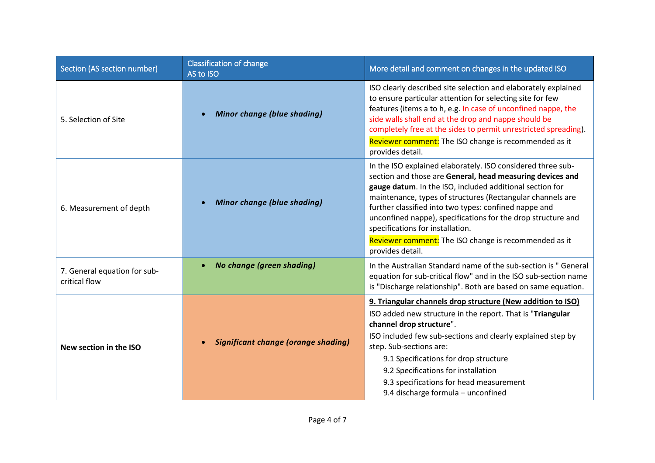| Section (AS section number)                   | <b>Classification of change</b><br>AS to ISO | More detail and comment on changes in the updated ISO                                                                                                                                                                                                                                                                                                                                                                                                                                        |
|-----------------------------------------------|----------------------------------------------|----------------------------------------------------------------------------------------------------------------------------------------------------------------------------------------------------------------------------------------------------------------------------------------------------------------------------------------------------------------------------------------------------------------------------------------------------------------------------------------------|
| 5. Selection of Site                          | <b>Minor change (blue shading)</b>           | ISO clearly described site selection and elaborately explained<br>to ensure particular attention for selecting site for few<br>features (items a to h, e.g. In case of unconfined nappe, the<br>side walls shall end at the drop and nappe should be<br>completely free at the sides to permit unrestricted spreading).<br>Reviewer comment: The ISO change is recommended as it<br>provides detail.                                                                                         |
| 6. Measurement of depth                       | <b>Minor change (blue shading)</b>           | In the ISO explained elaborately. ISO considered three sub-<br>section and those are General, head measuring devices and<br>gauge datum. In the ISO, included additional section for<br>maintenance, types of structures (Rectangular channels are<br>further classified into two types: confined nappe and<br>unconfined nappe), specifications for the drop structure and<br>specifications for installation.<br>Reviewer comment: The ISO change is recommended as it<br>provides detail. |
| 7. General equation for sub-<br>critical flow | <b>No change (green shading)</b>             | In the Australian Standard name of the sub-section is " General<br>equation for sub-critical flow" and in the ISO sub-section name<br>is "Discharge relationship". Both are based on same equation.                                                                                                                                                                                                                                                                                          |
| New section in the ISO                        | <b>Significant change (orange shading)</b>   | 9. Triangular channels drop structure (New addition to ISO)<br>ISO added new structure in the report. That is "Triangular<br>channel drop structure".<br>ISO included few sub-sections and clearly explained step by<br>step. Sub-sections are:<br>9.1 Specifications for drop structure<br>9.2 Specifications for installation<br>9.3 specifications for head measurement<br>9.4 discharge formula - unconfined                                                                             |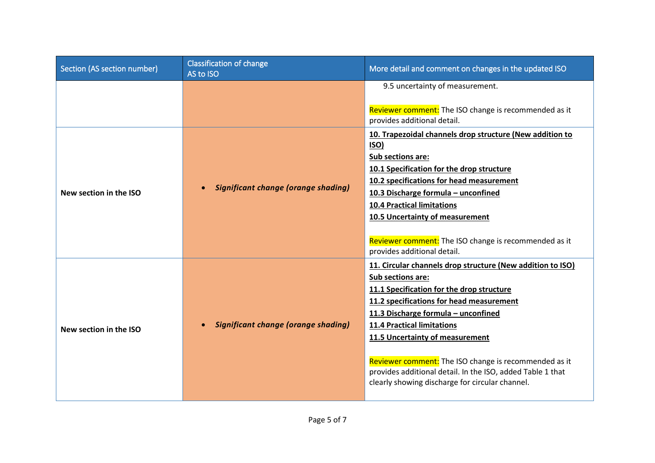| Section (AS section number) | <b>Classification of change</b><br>AS to ISO            | More detail and comment on changes in the updated ISO                                                                                                                                                                                                                                                                                                                                                                                                             |
|-----------------------------|---------------------------------------------------------|-------------------------------------------------------------------------------------------------------------------------------------------------------------------------------------------------------------------------------------------------------------------------------------------------------------------------------------------------------------------------------------------------------------------------------------------------------------------|
|                             |                                                         | 9.5 uncertainty of measurement.<br>Reviewer comment: The ISO change is recommended as it<br>provides additional detail.                                                                                                                                                                                                                                                                                                                                           |
| New section in the ISO      | <b>Significant change (orange shading)</b><br>$\bullet$ | 10. Trapezoidal channels drop structure (New addition to<br><b>ISO)</b><br>Sub sections are:<br>10.1 Specification for the drop structure<br>10.2 specifications for head measurement<br>10.3 Discharge formula - unconfined<br><b>10.4 Practical limitations</b><br>10.5 Uncertainty of measurement<br>Reviewer comment: The ISO change is recommended as it<br>provides additional detail.                                                                      |
| New section in the ISO      | <b>Significant change (orange shading)</b><br>$\bullet$ | 11. Circular channels drop structure (New addition to ISO)<br>Sub sections are:<br>11.1 Specification for the drop structure<br>11.2 specifications for head measurement<br>11.3 Discharge formula - unconfined<br><b>11.4 Practical limitations</b><br>11.5 Uncertainty of measurement<br>Reviewer comment: The ISO change is recommended as it<br>provides additional detail. In the ISO, added Table 1 that<br>clearly showing discharge for circular channel. |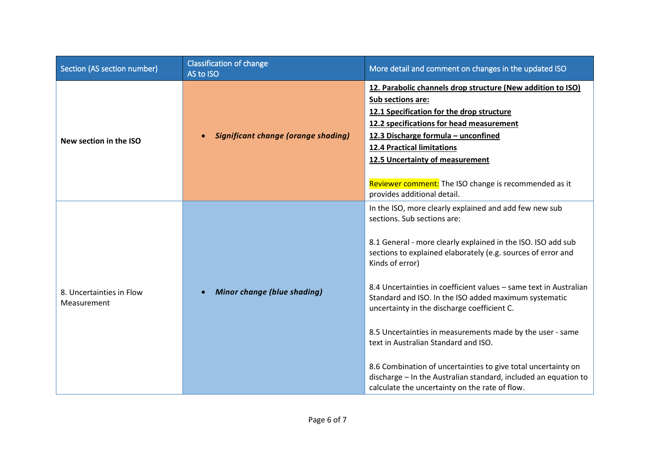| Section (AS section number)             | <b>Classification of change</b><br>AS to ISO | More detail and comment on changes in the updated ISO                                                                                                                                                                                                                                                                                                                                                                                                                                                                                                                                                                                                                                                            |
|-----------------------------------------|----------------------------------------------|------------------------------------------------------------------------------------------------------------------------------------------------------------------------------------------------------------------------------------------------------------------------------------------------------------------------------------------------------------------------------------------------------------------------------------------------------------------------------------------------------------------------------------------------------------------------------------------------------------------------------------------------------------------------------------------------------------------|
| New section in the ISO                  | <b>Significant change (orange shading)</b>   | 12. Parabolic channels drop structure (New addition to ISO)<br>Sub sections are:<br>12.1 Specification for the drop structure<br>12.2 specifications for head measurement<br>12.3 Discharge formula - unconfined<br><b>12.4 Practical limitations</b><br>12.5 Uncertainty of measurement<br>Reviewer comment: The ISO change is recommended as it<br>provides additional detail.                                                                                                                                                                                                                                                                                                                                 |
| 8. Uncertainties in Flow<br>Measurement | <b>Minor change (blue shading)</b>           | In the ISO, more clearly explained and add few new sub<br>sections. Sub sections are:<br>8.1 General - more clearly explained in the ISO. ISO add sub<br>sections to explained elaborately (e.g. sources of error and<br>Kinds of error)<br>8.4 Uncertainties in coefficient values - same text in Australian<br>Standard and ISO. In the ISO added maximum systematic<br>uncertainty in the discharge coefficient C.<br>8.5 Uncertainties in measurements made by the user - same<br>text in Australian Standard and ISO.<br>8.6 Combination of uncertainties to give total uncertainty on<br>discharge - In the Australian standard, included an equation to<br>calculate the uncertainty on the rate of flow. |